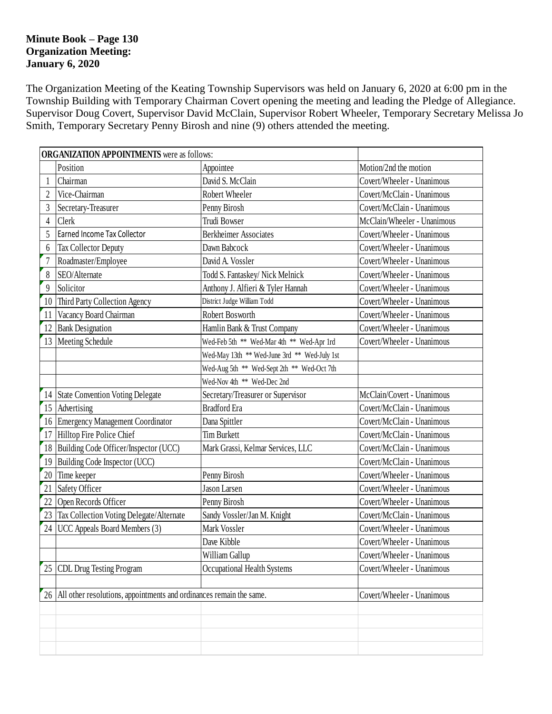#### **Minute Book – Page 130 Organization Meeting: January 6, 2020**

The Organization Meeting of the Keating Township Supervisors was held on January 6, 2020 at 6:00 pm in the Township Building with Temporary Chairman Covert opening the meeting and leading the Pledge of Allegiance. Supervisor Doug Covert, Supervisor David McClain, Supervisor Robert Wheeler, Temporary Secretary Melissa Jo Smith, Temporary Secretary Penny Birosh and nine (9) others attended the meeting.

|                | <b>ORGANIZATION APPOINTMENTS</b> were as follows:                   |                                                                 |                             |  |  |
|----------------|---------------------------------------------------------------------|-----------------------------------------------------------------|-----------------------------|--|--|
|                | Position                                                            | Appointee                                                       | Motion/2nd the motion       |  |  |
|                | Chairman                                                            | David S. McClain                                                | Covert/Wheeler - Unanimous  |  |  |
| $\overline{2}$ | Vice-Chairman                                                       | Robert Wheeler                                                  | Covert/McClain - Unanimous  |  |  |
| 3              | Secretary-Treasurer                                                 | Penny Birosh                                                    | Covert/McClain - Unanimous  |  |  |
| $\overline{4}$ | Clerk                                                               | Trudi Bowser                                                    | McClain/Wheeler - Unanimous |  |  |
| 5              | Earned Income Tax Collector                                         | <b>Berkheimer Associates</b>                                    | Covert/Wheeler - Unanimous  |  |  |
| 6              | Tax Collector Deputy                                                | Dawn Babcock                                                    | Covert/Wheeler - Unanimous  |  |  |
| $\overline{7}$ | Roadmaster/Employee                                                 | David A. Vossler                                                | Covert/Wheeler - Unanimous  |  |  |
| 8              | SEO/Alternate                                                       | Todd S. Fantaskey/ Nick Melnick                                 | Covert/Wheeler - Unanimous  |  |  |
| 9              | Solicitor                                                           | Anthony J. Alfieri & Tyler Hannah                               | Covert/Wheeler - Unanimous  |  |  |
| 10             | Third Party Collection Agency                                       | District Judge William Todd                                     | Covert/Wheeler - Unanimous  |  |  |
| 11             | Vacancy Board Chairman                                              | Robert Bosworth                                                 | Covert/Wheeler - Unanimous  |  |  |
| 12             | <b>Bank Designation</b>                                             | Hamlin Bank & Trust Company                                     | Covert/Wheeler - Unanimous  |  |  |
| 13             | Meeting Schedule                                                    | Wed-Feb 5th ** Wed-Mar 4th ** Wed-Apr 1rd                       | Covert/Wheeler - Unanimous  |  |  |
|                |                                                                     | Wed-May 13th ** Wed-June 3rd ** Wed-July 1st                    |                             |  |  |
|                |                                                                     | Wed-Aug 5th ** Wed-Sept 2th ** Wed-Oct 7th                      |                             |  |  |
|                |                                                                     | Wed-Nov 4th ** Wed-Dec 2nd                                      |                             |  |  |
|                | 14 State Convention Voting Delegate                                 | Secretary/Treasurer or Supervisor                               | McClain/Covert - Unanimous  |  |  |
| 15             | Advertising                                                         | <b>Bradford Era</b>                                             | Covert/McClain - Unanimous  |  |  |
| 16             | <b>Emergency Management Coordinator</b>                             | Covert/McClain - Unanimous<br>Dana Spittler                     |                             |  |  |
| 17             | Hilltop Fire Police Chief<br><b>Tim Burkett</b>                     |                                                                 | Covert/McClain - Unanimous  |  |  |
| 18             | Building Code Officer/Inspector (UCC)                               | Mark Grassi, Kelmar Services, LLC<br>Covert/McClain - Unanimous |                             |  |  |
| 19             | Building Code Inspector (UCC)                                       |                                                                 | Covert/McClain - Unanimous  |  |  |
| 20             | Time keeper                                                         | Penny Birosh                                                    | Covert/Wheeler - Unanimous  |  |  |
| 21             | Safety Officer                                                      | Jason Larsen                                                    | Covert/Wheeler - Unanimous  |  |  |
| 22             | Open Records Officer                                                | Penny Birosh                                                    | Covert/Wheeler - Unanimous  |  |  |
| 23             | Tax Collection Voting Delegate/Alternate                            | Sandy Vossler/Jan M. Knight                                     | Covert/McClain - Unanimous  |  |  |
| 24             | UCC Appeals Board Members (3)                                       | Mark Vossler                                                    | Covert/Wheeler - Unanimous  |  |  |
|                |                                                                     | Dave Kibble                                                     | Covert/Wheeler - Unanimous  |  |  |
|                |                                                                     | William Gallup                                                  | Covert/Wheeler - Unanimous  |  |  |
| 25             | <b>CDL Drug Testing Program</b>                                     | Occupational Health Systems                                     | Covert/Wheeler - Unanimous  |  |  |
|                |                                                                     |                                                                 |                             |  |  |
| 26             | All other resolutions, appointments and ordinances remain the same. | Covert/Wheeler - Unanimous                                      |                             |  |  |
|                |                                                                     |                                                                 |                             |  |  |
|                |                                                                     |                                                                 |                             |  |  |
|                |                                                                     |                                                                 |                             |  |  |
|                |                                                                     |                                                                 |                             |  |  |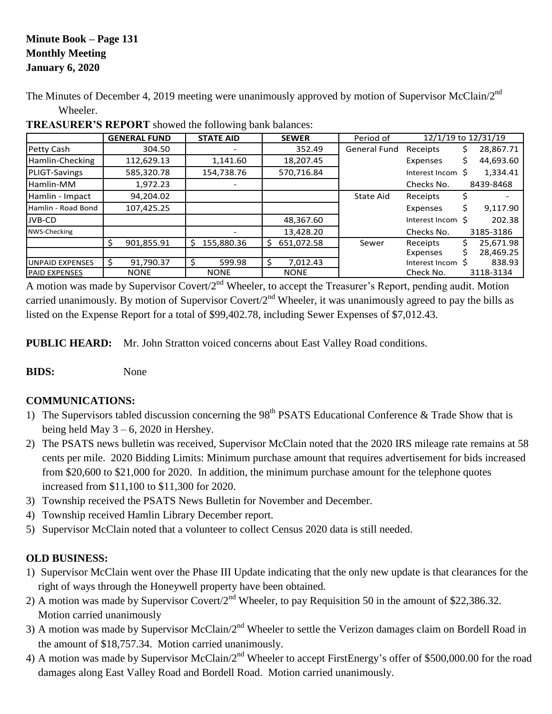## **Minute Book – Page 131 Monthly Meeting January 6, 2020**

The Minutes of December 4, 2019 meeting were unanimously approved by motion of Supervisor McClain/2<sup>nd</sup> Wheeler.

|                        | <b>GENERAL FUND</b> | <b>STATE AID</b> | <b>SEWER</b>    | Period of           |                  | 12/1/19 to 12/31/19 |
|------------------------|---------------------|------------------|-----------------|---------------------|------------------|---------------------|
| Petty Cash             | 304.50              |                  | 352.49          | <b>General Fund</b> | Receipts         | 28,867.71<br>Ş      |
| Hamlin-Checking        | 112,629.13          | 1,141.60         | 18,207.45       |                     | Expenses         | 44,693.60<br>Ś.     |
| PLIGT-Savings          | 585,320.78          | 154,738.76       | 570,716.84      |                     | Interest Incom   | 1,334.41            |
| Hamlin-MM              | 1,972.23            |                  |                 |                     | Checks No.       | 8439-8468           |
| Hamlin - Impact        | 94,204.02           |                  |                 | State Aid           | Receipts         |                     |
| Hamlin - Road Bond     | 107,425.25          |                  |                 |                     | Expenses         | 9,117.90<br>Ś       |
| JVB-CD                 |                     |                  | 48,367.60       |                     | Interest Incom S | 202.38              |
| NWS-Checking           |                     |                  | 13,428.20       |                     | Checks No.       | 3185-3186           |
|                        | Ś<br>901,855.91     | 155,880.36<br>Ś  | 651,072.58<br>S | Sewer               | Receipts         | 25.671.98           |
|                        |                     |                  |                 |                     | Expenses         | 28,469.25           |
| <b>UNPAID EXPENSES</b> | Ś<br>91,790.37      | 599.98           | 7,012.43<br>Ŝ   |                     | Interest Incom   | 838.93              |
| <b>PAID EXPENSES</b>   | <b>NONE</b>         | <b>NONE</b>      | <b>NONE</b>     |                     | Check No.        | 3118-3134           |

**TREASURER'S REPORT** showed the following bank balances:

A motion was made by Supervisor Covert/2<sup>nd</sup> Wheeler, to accept the Treasurer's Report, pending audit. Motion carried unanimously. By motion of Supervisor Covert/ $2<sup>nd</sup>$  Wheeler, it was unanimously agreed to pay the bills as listed on the Expense Report for a total of \$99,402.78, including Sewer Expenses of \$7,012.43.

**PUBLIC HEARD:** Mr. John Stratton voiced concerns about East Valley Road conditions.

**BIDS:** None

## **COMMUNICATIONS:**

- 1) The Supervisors tabled discussion concerning the  $98<sup>th</sup>$  PSATS Educational Conference & Trade Show that is being held May  $3 - 6$ , 2020 in Hershey.
- 2) The PSATS news bulletin was received, Supervisor McClain noted that the 2020 IRS mileage rate remains at 58 cents per mile. 2020 Bidding Limits: Minimum purchase amount that requires advertisement for bids increased from \$20,600 to \$21,000 for 2020. In addition, the minimum purchase amount for the telephone quotes increased from \$11,100 to \$11,300 for 2020.
- 3) Township received the PSATS News Bulletin for November and December.
- 4) Township received Hamlin Library December report.
- 5) Supervisor McClain noted that a volunteer to collect Census 2020 data is still needed.

# **OLD BUSINESS:**

- 1) Supervisor McClain went over the Phase III Update indicating that the only new update is that clearances for the right of ways through the Honeywell property have been obtained.
- 2) A motion was made by Supervisor Covert/ $2<sup>nd</sup>$  Wheeler, to pay Requisition 50 in the amount of \$22,386.32. Motion carried unanimously
- 3) A motion was made by Supervisor McClain/2<sup>nd</sup> Wheeler to settle the Verizon damages claim on Bordell Road in the amount of \$18,757.34. Motion carried unanimously.
- 4) A motion was made by Supervisor McClain/2<sup>nd</sup> Wheeler to accept FirstEnergy's offer of \$500,000.00 for the road damages along East Valley Road and Bordell Road. Motion carried unanimously.